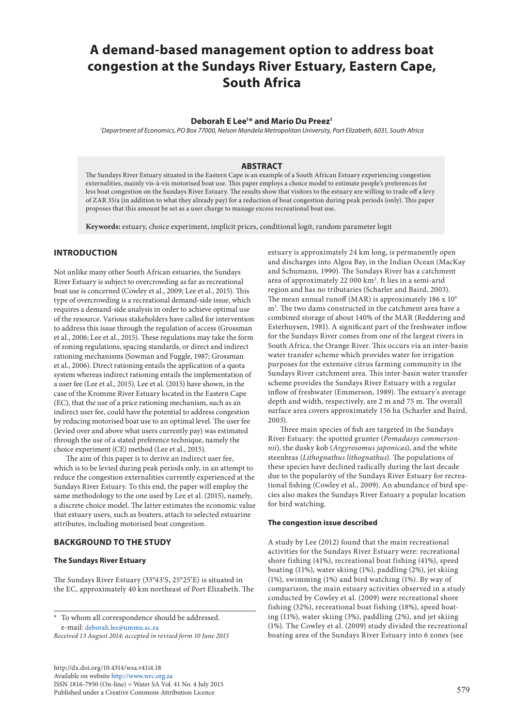# **A demand-based management option to address boat congestion at the Sundays River Estuary, Eastern Cape, South Africa**

## **Deborah E Lee1 \* and Mario Du Preez1**

*1 Department of Economics, PO Box 77000, Nelson Mandela Metropolitan University, Port Elizabeth, 6031, South Africa*

## **ABSTRACT**

The Sundays River Estuary situated in the Eastern Cape is an example of a South African Estuary experiencing congestion externalities, mainly vis-à-vis motorised boat use. This paper employs a choice model to estimate people's preferences for less boat congestion on the Sundays River Estuary. The results show that visitors to the estuary are willing to trade off a levy of ZAR 35/a (in addition to what they already pay) for a reduction of boat congestion during peak periods (only). This paper proposes that this amount be set as a user charge to manage excess recreational boat use.

**Keywords:** estuary, choice experiment, implicit prices, conditional logit, random parameter logit

# **INTRODUCTION**

Not unlike many other South African estuaries, the Sundays River Estuary is subject to overcrowding as far as recreational boat use is concerned (Cowley et al., 2009; Lee et al., 2015). This type of overcrowding is a recreational demand-side issue, which requires a demand-side analysis in order to achieve optimal use of the resource. Various stakeholders have called for intervention to address this issue through the regulation of access (Grossman et al., 2006; Lee et al., 2015). These regulations may take the form of zoning regulations, spacing standards, or direct and indirect rationing mechanisms (Sowman and Fuggle, 1987; Grossman et al., 2006). Direct rationing entails the application of a quota system whereas indirect rationing entails the implementation of a user fee (Lee et al., 2015). Lee et al. (2015) have shown, in the case of the Kromme River Estuary located in the Eastern Cape (EC), that the use of a price rationing mechanism, such as an indirect user fee, could have the potential to address congestion by reducing motorised boat use to an optimal level. The user fee (levied over and above what users currently pay) was estimated through the use of a stated preference technique, namely the choice experiment (CE) method (Lee et al., 2015).

The aim of this paper is to derive an indirect user fee, which is to be levied during peak periods only, in an attempt to reduce the congestion externalities currently experienced at the Sundays River Estuary. To this end, the paper will employ the same methodology to the one used by Lee et al. (2015), namely, a discrete choice model. The latter estimates the economic value that estuary users, such as boaters, attach to selected estuarine attributes, including motorised boat congestion.

#### **BACKGROUND TO THE STUDY**

## **The Sundays River Estuary**

The Sundays River Estuary (33°43′S, 25°25′E) is situated in the EC, approximately 40 km northeast of Port Elizabeth. The

To whom all correspondence should be addressed. e-mail: [deborah.lee@nmmu.ac.za](mailto:deborah.lee%40nmmu.ac.za?subject=)

*Received 13 August 2014; accepted in revised form 10 June 2015*

[http://dx.doi.org/10.4314/wsa.v41i4.](http://dx.doi.org/10.4314/wsa.v41i4.18)18 Available on website<http://www.wrc.org.za> ISSN 1816-7950 (On-line) = Water SA Vol. 41 No. 4 July 2015 Published under a Creative Commons Attribution Licence

estuary is approximately 24 km long, is permanently open and discharges into Algoa Bay, in the Indian Ocean (MacKay and Schumann, 1990). The Sundays River has a catchment area of approximately 22 000 km<sup>2</sup>. It lies in a semi-arid region and has no tributaries (Scharler and Baird, 2003). The mean annual runoff (MAR) is approximately  $186 \times 10^6$ m3 . The two dams constructed in the catchment area have a combined storage of about 140% of the MAR (Reddering and Esterhuysen, 1981). A significant part of the freshwater inflow for the Sundays River comes from one of the largest rivers in South Africa, the Orange River. This occurs via an inter-basin water transfer scheme which provides water for irrigation purposes for the extensive citrus farming community in the Sundays River catchment area. This inter-basin water transfer scheme provides the Sundays River Estuary with a regular inflow of freshwater (Emmerson, 1989). The estuary's average depth and width, respectively, are 2 m and 75 m. The overall surface area covers approximately 156 ha (Scharler and Baird, 2003).

Three main species of fish are targeted in the Sundays River Estuary: the spotted grunter (*Pomadasys commersonnii*), the dusky kob (*Argyrosomus japonicas*), and the white steenbras (*Lithognathus lithognathus*). The populations of these species have declined radically during the last decade due to the popularity of the Sundays River Estuary for recreational fishing (Cowley et al., 2009). An abundance of bird species also makes the Sundays River Estuary a popular location for bird watching.

#### **The congestion issue described**

A study by Lee (2012) found that the main recreational activities for the Sundays River Estuary were: recreational shore fishing (41%), recreational boat fishing (41%), speed boating (11%), water skiing (1%), paddling (2%), jet skiing (1%), swimming (1%) and bird watching (1%). By way of comparison, the main estuary activities observed in a study conducted by Cowley et al. (2009) were recreational shore fishing (32%), recreational boat fishing (18%), speed boating (11%), water skiing (3%), paddling (2%), and jet skiing (1%). The Cowley et al. (2009) study divided the recreational boating area of the Sundays River Estuary into 6 zones (see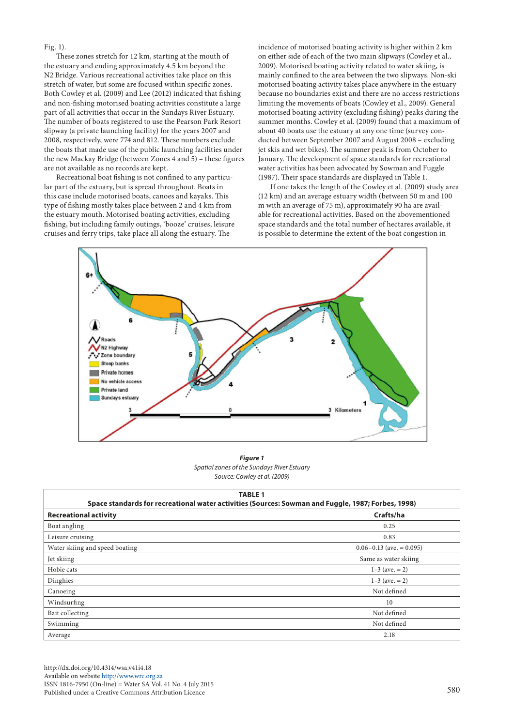Fig. 1).

These zones stretch for 12 km, starting at the mouth of the estuary and ending approximately 4.5 km beyond the N2 Bridge. Various recreational activities take place on this stretch of water, but some are focused within specific zones. Both Cowley et al. (2009) and Lee (2012) indicated that fishing and non-fishing motorised boating activities constitute a large part of all activities that occur in the Sundays River Estuary. The number of boats registered to use the Pearson Park Resort slipway (a private launching facility) for the years 2007 and 2008, respectively, were 774 and 812. These numbers exclude the boats that made use of the public launching facilities under the new Mackay Bridge (between Zones 4 and 5) – these figures are not available as no records are kept.

Recreational boat fishing is not confined to any particular part of the estuary, but is spread throughout. Boats in this case include motorised boats, canoes and kayaks. This type of fishing mostly takes place between 2 and 4 km from the estuary mouth. Motorised boating activities, excluding fishing, but including family outings, 'booze' cruises, leisure cruises and ferry trips, take place all along the estuary. The

incidence of motorised boating activity is higher within 2 km on either side of each of the two main slipways (Cowley et al., 2009). Motorised boating activity related to water skiing, is mainly confined to the area between the two slipways. Non-ski motorised boating activity takes place anywhere in the estuary because no boundaries exist and there are no access restrictions limiting the movements of boats (Cowley et al., 2009). General motorised boating activity (excluding fishing) peaks during the summer months. Cowley et al. (2009) found that a maximum of about 40 boats use the estuary at any one time (survey conducted between September 2007 and August 2008 – excluding jet skis and wet bikes). The summer peak is from October to January. The development of space standards for recreational water activities has been advocated by Sowman and Fuggle (1987). Their space standards are displayed in Table 1.

If one takes the length of the Cowley et al. (2009) study area (12 km) and an average estuary width (between 50 m and 100 m with an average of 75 m), approximately 90 ha are available for recreational activities. Based on the abovementioned space standards and the total number of hectares available, it is possible to determine the extent of the boat congestion in



**Spatial zones of the Sundays River Estuary** *Spatial zones of the Sundays River Estuary Figure 1 Source: Cowley et al. (2009)*

| <b>TABLE 1</b><br>Space standards for recreational water activities (Sources: Sowman and Fuggle, 1987; Forbes, 1998) |                              |  |  |  |
|----------------------------------------------------------------------------------------------------------------------|------------------------------|--|--|--|
| <b>Recreational activity</b>                                                                                         | Crafts/ha                    |  |  |  |
| Boat angling                                                                                                         | 0.25                         |  |  |  |
| Leisure cruising                                                                                                     | 0.83                         |  |  |  |
| Water skiing and speed boating                                                                                       | $0.06 - 0.13$ (ave. = 0.095) |  |  |  |
| Jet skiing                                                                                                           | Same as water skiing         |  |  |  |
| Hobie cats                                                                                                           | $1-3$ (ave. = 2)             |  |  |  |
| Dinghies                                                                                                             | $1-3$ (ave. = 2)             |  |  |  |
| Canoeing                                                                                                             | Not defined                  |  |  |  |
| Windsurfing                                                                                                          | 10                           |  |  |  |
| Bait collecting                                                                                                      | Not defined                  |  |  |  |
| Swimming                                                                                                             | Not defined                  |  |  |  |
| Average                                                                                                              | 2.18                         |  |  |  |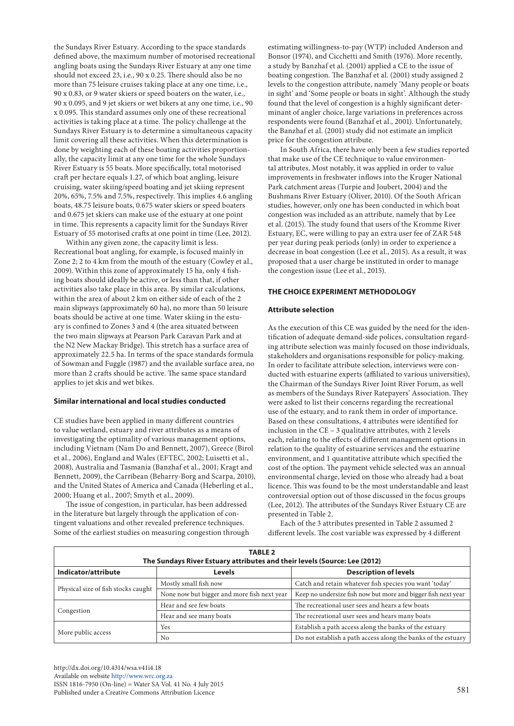the Sundays River Estuary. According to the space standards defined above, the maximum number of motorised recreational angling boats using the Sundays River Estuary at any one time should not exceed 23, i.e., 90 x 0.25. There should also be no more than 75 leisure cruises taking place at any one time, i.e., 90 x 0.83, or 9 water skiers or speed boaters on the water, i.e., 90 x 0.095, and 9 jet skiers or wet bikers at any one time, i.e., 90 x 0.095. This standard assumes only one of these recreational activities is taking place at a time. The policy challenge at the Sundays River Estuary is to determine a simultaneous capacity limit covering all these activities. When this determination is done by weighting each of these boating activities proportionally, the capacity limit at any one time for the whole Sundays River Estuary is 55 boats. More specifically, total motorised craft per hectare equals 1.27, of which boat angling, leisure cruising, water skiing/speed boating and jet skiing represent 20%, 65%, 7.5% and 7.5%, respectively. This implies 4.6 angling boats, 48.75 leisure boats, 0.675 water skiers or speed boaters and 0.675 jet skiers can make use of the estuary at one point in time. This represents a capacity limit for the Sundays River Estuary of 55 motorised crafts at one point in time (Lee, 2012).

Within any given zone, the capacity limit is less. Recreational boat angling, for example, is focused mainly in Zone 2; 2 to 4 km from the mouth of the estuary (Cowley et al., 2009). Within this zone of approximately 15 ha, only 4 fishing boats should ideally be active, or less than that, if other activities also take place in this area. By similar calculations, within the area of about 2 km on either side of each of the 2 main slipways (approximately 60 ha), no more than 50 leisure boats should be active at one time. Water skiing in the estuary is confined to Zones 3 and 4 (the area situated between the two main slipways at Pearson Park Caravan Park and at the N2 New Mackay Bridge). This stretch has a surface area of approximately 22.5 ha. In terms of the space standards formula of Sowman and Fuggle (1987) and the available surface area, no more than 2 crafts should be active. The same space standard applies to jet skis and wet bikes.

#### **Similar international and local studies conducted**

CE studies have been applied in many different countries to value wetland, estuary and river attributes as a means of investigating the optimality of various management options, including Vietnam (Nam Do and Bennett, 2007), Greece (Birol et al., 2006), England and Wales (EFTEC, 2002; Luisetti et al., 2008), Australia and Tasmania (Banzhaf et al., 2001; Kragt and Bennett, 2009), the Carribean (Beharry-Borg and Scarpa, 2010), and the United States of America and Canada (Heberling et al., 2000; Huang et al., 2007; Smyth et al., 2009).

The issue of congestion, in particular, has been addressed in the literature but largely through the application of contingent valuations and other revealed preference techniques. Some of the earliest studies on measuring congestion through estimating willingness-to-pay (WTP) included Anderson and Bonsor (1974), and Cicchetti and Smith (1976). More recently, a study by Banzhaf et al. (2001) applied a CE to the issue of boating congestion. The Banzhaf et al. (2001) study assigned 2 levels to the congestion attribute, namely 'Many people or boats in sight' and 'Some people or boats in sight'. Although the study found that the level of congestion is a highly significant determinant of angler choice, large variations in preferences across respondents were found (Banzhaf et al., 2001). Unfortunately, the Banzhaf et al. (2001) study did not estimate an implicit price for the congestion attribute.

In South Africa, there have only been a few studies reported that make use of the CE technique to value environmental attributes. Most notably, it was applied in order to value improvements in freshwater inflows into the Kruger National Park catchment areas (Turpie and Joubert, 2004) and the Bushmans River Estuary (Oliver, 2010). Of the South African studies, however, only one has been conducted in which boat congestion was included as an attribute, namely that by Lee et al. (2015). The study found that users of the Kromme River Estuary, EC, were willing to pay an extra user fee of ZAR 548 per year during peak periods (only) in order to experience a decrease in boat congestion (Lee et al., 2015). As a result, it was proposed that a user charge be instituted in order to manage the congestion issue (Lee et al., 2015).

#### **THE CHOICE EXPERIMENT METHODOLOGY**

#### **Attribute selection**

As the execution of this CE was guided by the need for the identification of adequate demand-side polices, consultation regarding attribute selection was mainly focused on those individuals, stakeholders and organisations responsible for policy-making. In order to facilitate attribute selection, interviews were conducted with estuarine experts (affiliated to various universities), the Chairman of the Sundays River Joint River Forum, as well as members of the Sundays River Ratepayers' Association. They were asked to list their concerns regarding the recreational use of the estuary, and to rank them in order of importance. Based on these consultations, 4 attributes were identified for inclusion in the CE – 3 qualitative attributes, with 2 levels each, relating to the effects of different management options in relation to the quality of estuarine services and the estuarine environment, and 1 quantitative attribute which specified the cost of the option. The payment vehicle selected was an annual environmental charge, levied on those who already had a boat licence. This was found to be the most understandable and least controversial option out of those discussed in the focus groups (Lee, 2012). The attributes of the Sundays River Estuary CE are presented in Table 2.

Each of the 3 attributes presented in Table 2 assumed 2 different levels. The cost variable was expressed by 4 different

| <b>TABLE 2</b><br>The Sundays River Estuary attributes and their levels (Source: Lee (2012) |                                             |                                                               |  |  |  |  |
|---------------------------------------------------------------------------------------------|---------------------------------------------|---------------------------------------------------------------|--|--|--|--|
| Indicator/attribute                                                                         | <b>Levels</b>                               | <b>Description of levels</b>                                  |  |  |  |  |
| Physical size of fish stocks caught                                                         | Mostly small fish now                       | Catch and retain whatever fish species you want 'today'       |  |  |  |  |
|                                                                                             | None now but bigger and more fish next year | Keep no undersize fish now but more and bigger fish next year |  |  |  |  |
| Congestion                                                                                  | Hear and see few boats                      | The recreational user sees and hears a few boats              |  |  |  |  |
|                                                                                             | Hear and see many boats                     | The recreational user sees and hears many boats               |  |  |  |  |
| More public access                                                                          | Yes                                         | Establish a path access along the banks of the estuary        |  |  |  |  |
|                                                                                             | No.                                         | Do not establish a path access along the banks of the estuary |  |  |  |  |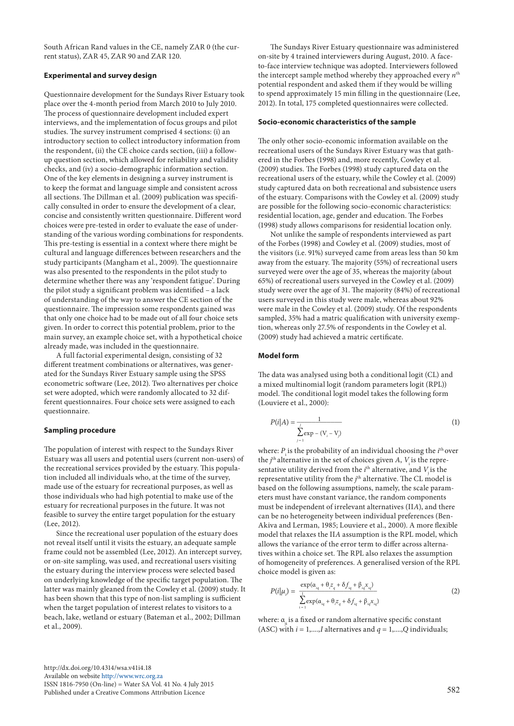South African Rand values in the CE, namely ZAR 0 (the current status), ZAR 45, ZAR 90 and ZAR 120.

## **Experimental and survey design**

Questionnaire development for the Sundays River Estuary took place over the 4-month period from March 2010 to July 2010. The process of questionnaire development included expert interviews, and the implementation of focus groups and pilot studies. The survey instrument comprised 4 sections: (i) an introductory section to collect introductory information from the respondent, (ii) the CE choice cards section, (iii) a followup question section, which allowed for reliability and validity checks, and (iv) a socio-demographic information section. One of the key elements in designing a survey instrument is to keep the format and language simple and consistent across all sections. The Dillman et al. (2009) publication was specifically consulted in order to ensure the development of a clear, concise and consistently written questionnaire. Different word choices were pre-tested in order to evaluate the ease of understanding of the various wording combinations for respondents. This pre-testing is essential in a context where there might be cultural and language differences between researchers and the study participants (Mangham et al., 2009). The questionnaire was also presented to the respondents in the pilot study to determine whether there was any 'respondent fatigue'. During the pilot study a significant problem was identified – a lack of understanding of the way to answer the CE section of the questionnaire. The impression some respondents gained was that only one choice had to be made out of all four choice sets given. In order to correct this potential problem, prior to the main survey, an example choice set, with a hypothetical choice already made, was included in the questionnaire.

A full factorial experimental design, consisting of 32 different treatment combinations or alternatives, was generated for the Sundays River Estuary sample using the SPSS econometric software (Lee, 2012). Two alternatives per choice set were adopted, which were randomly allocated to 32 different questionnaires. Four choice sets were assigned to each questionnaire.

#### **Sampling procedure**

The population of interest with respect to the Sundays River Estuary was all users and potential users (current non-users) of the recreational services provided by the estuary. This population included all individuals who, at the time of the survey, made use of the estuary for recreational purposes, as well as those individuals who had high potential to make use of the estuary for recreational purposes in the future. It was not feasible to survey the entire target population for the estuary (Lee, 2012).

Since the recreational user population of the estuary does not reveal itself until it visits the estuary, an adequate sample frame could not be assembled (Lee, 2012). An intercept survey, or on-site sampling, was used, and recreational users visiting the estuary during the interview process were selected based on underlying knowledge of the specific target population. The latter was mainly gleaned from the Cowley et al. (2009) study. It has been shown that this type of non-list sampling is sufficient when the target population of interest relates to visitors to a beach, lake, wetland or estuary (Bateman et al., 2002; Dillman et al., 2009).

The Sundays River Estuary questionnaire was administered on-site by 4 trained interviewers during August, 2010. A faceto-face interview technique was adopted. Interviewers followed the intercept sample method whereby they approached every *n*th potential respondent and asked them if they would be willing to spend approximately 15 min filling in the questionnaire (Lee, 2012). In total, 175 completed questionnaires were collected.

#### **Socio-economic characteristics of the sample**

The only other socio-economic information available on the recreational users of the Sundays River Estuary was that gathered in the Forbes (1998) and, more recently, Cowley et al. (2009) studies. The Forbes (1998) study captured data on the recreational users of the estuary, while the Cowley et al. (2009) study captured data on both recreational and subsistence users of the estuary. Comparisons with the Cowley et al. (2009) study are possible for the following socio-economic characteristics: residential location, age, gender and education. The Forbes (1998) study allows comparisons for residential location only.

Not unlike the sample of respondents interviewed as part of the Forbes (1998) and Cowley et al. (2009) studies, most of the visitors (i.e. 91%) surveyed came from areas less than 50 km away from the estuary. The majority (55%) of recreational users surveyed were over the age of 35, whereas the majority (about 65%) of recreational users surveyed in the Cowley et al. (2009) study were over the age of 31. The majority (84%) of recreational users surveyed in this study were male, whereas about 92% were male in the Cowley et al. (2009) study. Of the respondents sampled, 35% had a matric qualification with university exemption, whereas only 27.5% of respondents in the Cowley et al. (2009) study had achieved a matric certificate.

#### **Model form**

The data was analysed using both a conditional logit (CL) and a mixed multinomial logit (random parameters logit (RPL)) model. The conditional logit model takes the following form (Louviere et al., 2000):

$$
P(i|A) = \frac{1}{\sum_{j=1}^{j} \exp(-(\mathbf{V}_i - \mathbf{V}_j))}
$$
(1)

where:  $P_i$  is the probability of an individual choosing the  $i<sup>th</sup>$  over the  $j<sup>th</sup>$  alternative in the set of choices given *A*,  $V_i$  is the representative utility derived from the  $i<sup>th</sup>$  alternative, and  $V_j$  is the representative utility from the *j*<sup>th</sup> alternative. The CL model is based on the following assumptions, namely, the scale parameters must have constant variance, the random components must be independent of irrelevant alternatives (II*A*), and there can be no heterogeneity between individual preferences (Ben-Akiva and Lerman, 1985; Louviere et al., 2000). A more flexible model that relaxes the II*A* assumption is the RPL model, which allows the variance of the error term to differ across alternatives within a choice set. The RPL also relaxes the assumption choice model is given as:

of homogeneity of preferences. A generalised version of the RPL  
choice model is given as:  

$$
P(i|\mu_i) = \frac{\exp(\alpha_{i_{i_1}} + \theta_i z_i + \delta f_{i_{i_1}} + \beta_{i_{i_1}} x_{i_{i_1}})}{\sum_{i=1}^{1} \exp(\alpha_{i_{i_1}} + \theta_i z_i + \delta f_{i_{i_1}} + \beta_{i_{i_1}} x_{i_{i_1}})}
$$
(2)

where: α<sub>i</sub> is a fixed or random alternative specific constant (ASC) with  $i = 1, \ldots, I$  alternatives and  $q = 1, \ldots, O$  individuals;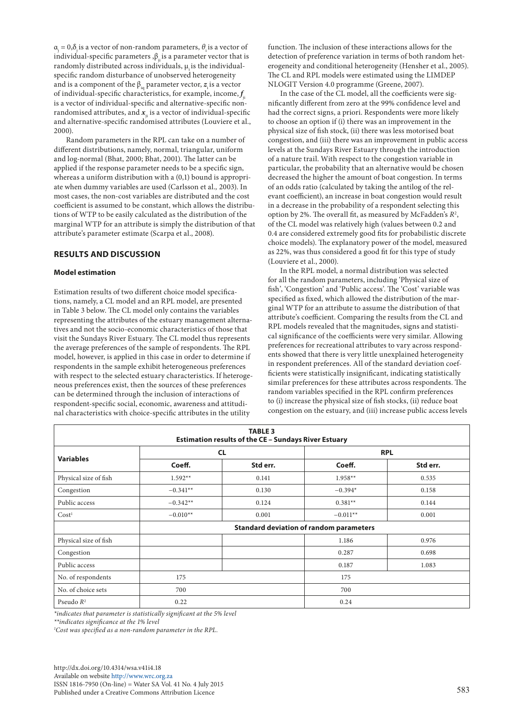αj = 0,δj is a vector of non-random parameters, *θ*i is a vector of individual-specific parameters  $\beta_{ii}$  is a parameter vector that is randomly distributed across individuals,  $\mu$  is the individualspecific random disturbance of unobserved heterogeneity and is a component of the  $\beta_{i}$  parameter vector,  $z_i$  is a vector of individual-specific characteristics, for example, income,  $f_{_{\rm ji}}$ is a vector of individual-specific and alternative-specific nonrandomised attributes, and  $x$ <sub>ii</sub> is a vector of individual-specific and alternative-specific randomised attributes (Louviere et al., 2000).

Random parameters in the RPL can take on a number of different distributions, namely, normal, triangular, uniform and log-normal (Bhat, 2000; Bhat, 2001). The latter can be applied if the response parameter needs to be a specific sign, whereas a uniform distribution with a (0,1) bound is appropriate when dummy variables are used (Carlsson et al.*,* 2003). In most cases, the non-cost variables are distributed and the cost coefficient is assumed to be constant, which allows the distributions of WTP to be easily calculated as the distribution of the marginal WTP for an attribute is simply the distribution of that attribute's parameter estimate (Scarpa et al., 2008).

### **RESULTS AND DISCUSSION**

#### **Model estimation**

Estimation results of two different choice model specifications, namely, a CL model and an RPL model, are presented in Table 3 below. The CL model only contains the variables representing the attributes of the estuary management alternatives and not the socio-economic characteristics of those that visit the Sundays River Estuary. The CL model thus represents the average preferences of the sample of respondents. The RPL model, however, is applied in this case in order to determine if respondents in the sample exhibit heterogeneous preferences with respect to the selected estuary characteristics. If heterogeneous preferences exist, then the sources of these preferences can be determined through the inclusion of interactions of respondent-specific social, economic, awareness and attitudinal characteristics with choice-specific attributes in the utility

function. The inclusion of these interactions allows for the detection of preference variation in terms of both random heterogeneity and conditional heterogeneity (Hensher et al., 2005). The CL and RPL models were estimated using the LIMDEP NLOGIT Version 4.0 programme (Greene, 2007).

In the case of the CL model, all the coefficients were significantly different from zero at the 99% confidence level and had the correct signs, a priori. Respondents were more likely to choose an option if (i) there was an improvement in the physical size of fish stock, (ii) there was less motorised boat congestion, and (iii) there was an improvement in public access levels at the Sundays River Estuary through the introduction of a nature trail. With respect to the congestion variable in particular, the probability that an alternative would be chosen decreased the higher the amount of boat congestion. In terms of an odds ratio (calculated by taking the antilog of the relevant coefficient), an increase in boat congestion would result in a decrease in the probability of a respondent selecting this option by 2%. The overall fit, as measured by McFadden's *R*<sup>2</sup> , of the CL model was relatively high (values between 0.2 and 0.4 are considered extremely good fits for probabilistic discrete choice models). The explanatory power of the model, measured as 22%, was thus considered a good fit for this type of study (Louviere et al., 2000).

In the RPL model, a normal distribution was selected for all the random parameters, including 'Physical size of fish', 'Congestion' and 'Public access'. The 'Cost' variable was specified as fixed, which allowed the distribution of the marginal WTP for an attribute to assume the distribution of that attribute's coefficient. Comparing the results from the CL and RPL models revealed that the magnitudes, signs and statistical significance of the coefficients were very similar. Allowing preferences for recreational attributes to vary across respondents showed that there is very little unexplained heterogeneity in respondent preferences. All of the standard deviation coefficients were statistically insignificant, indicating statistically similar preferences for these attributes across respondents. The random variables specified in the RPL confirm preferences to (i) increase the physical size of fish stocks, (ii) reduce boat congestion on the estuary, and (iii) increase public access levels

| <b>TABLE 3</b><br><b>Estimation results of the CE - Sundays River Estuary</b> |                                                |          |            |          |  |  |
|-------------------------------------------------------------------------------|------------------------------------------------|----------|------------|----------|--|--|
| <b>Variables</b>                                                              | <b>CL</b>                                      |          | <b>RPL</b> |          |  |  |
|                                                                               | Coeff.                                         | Std err. | Coeff.     | Std err. |  |  |
| Physical size of fish                                                         | $1.592**$                                      | 0.141    | $1.958**$  | 0.535    |  |  |
| Congestion                                                                    | $-0.341**$                                     | 0.130    | $-0.394*$  | 0.158    |  |  |
| Public access                                                                 | $-0.342**$                                     | 0.124    | $0.381**$  | 0.144    |  |  |
| Cost <sup>1</sup>                                                             | $-0.010**$                                     | 0.001    | $-0.011**$ | 0.001    |  |  |
|                                                                               | <b>Standard deviation of random parameters</b> |          |            |          |  |  |
| Physical size of fish                                                         |                                                |          | 1.186      | 0.976    |  |  |
| Congestion                                                                    |                                                |          | 0.287      | 0.698    |  |  |
| Public access                                                                 |                                                |          | 0.187      | 1.083    |  |  |
| No. of respondents                                                            | 175                                            |          | 175        |          |  |  |
| No. of choice sets                                                            | 700                                            |          | 700        |          |  |  |
| Pseudo $R^2$                                                                  | 0.22                                           |          | 0.24       |          |  |  |

*\*indicates that parameter is statistically significant at the 5% level*

*\*\*indicates significance at the 1% level*

*1 Cost was specified as a non-random parameter in the RPL.*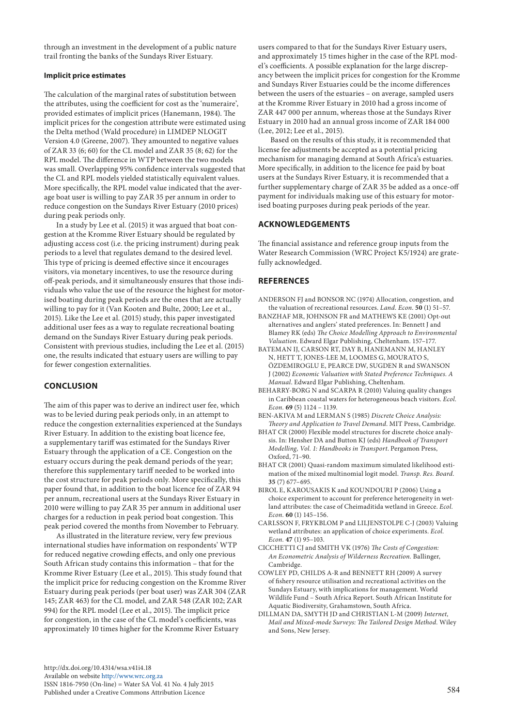through an investment in the development of a public nature trail fronting the banks of the Sundays River Estuary.

# **Implicit price estimates**

The calculation of the marginal rates of substitution between the attributes, using the coefficient for cost as the 'numeraire', provided estimates of implicit prices (Hanemann, 1984). The implicit prices for the congestion attribute were estimated using the Delta method (Wald procedure) in LIMDEP NLOGIT Version 4.0 (Greene, 2007). They amounted to negative values of ZAR 33 (6; 60) for the CL model and ZAR 35 (8; 62) for the RPL model. The difference in WTP between the two models was small. Overlapping 95% confidence intervals suggested that the CL and RPL models yielded statistically equivalent values. More specifically, the RPL model value indicated that the average boat user is willing to pay ZAR 35 per annum in order to reduce congestion on the Sundays River Estuary (2010 prices) during peak periods only.

In a study by Lee et al. (2015) it was argued that boat congestion at the Kromme River Estuary should be regulated by adjusting access cost (i.e. the pricing instrument) during peak periods to a level that regulates demand to the desired level. This type of pricing is deemed effective since it encourages visitors, via monetary incentives, to use the resource during off-peak periods, and it simultaneously ensures that those individuals who value the use of the resource the highest for motorised boating during peak periods are the ones that are actually willing to pay for it (Van Kooten and Bulte, 2000; Lee et al., 2015). Like the Lee et al. (2015) study, this paper investigated additional user fees as a way to regulate recreational boating demand on the Sundays River Estuary during peak periods. Consistent with previous studies, including the Lee et al. (2015) one, the results indicated that estuary users are willing to pay for fewer congestion externalities.

## **CONCLUSION**

The aim of this paper was to derive an indirect user fee, which was to be levied during peak periods only, in an attempt to reduce the congestion externalities experienced at the Sundays River Estuary. In addition to the existing boat licence fee, a supplementary tariff was estimated for the Sundays River Estuary through the application of a CE. Congestion on the estuary occurs during the peak demand periods of the year; therefore this supplementary tariff needed to be worked into the cost structure for peak periods only. More specifically, this paper found that, in addition to the boat licence fee of ZAR 94 per annum, recreational users at the Sundays River Estuary in 2010 were willing to pay ZAR 35 per annum in additional user charges for a reduction in peak period boat congestion. This peak period covered the months from November to February.

As illustrated in the literature review, very few previous international studies have information on respondents' WTP for reduced negative crowding effects, and only one previous South African study contains this information – that for the Kromme River Estuary (Lee et al., 2015). This study found that the implicit price for reducing congestion on the Kromme River Estuary during peak periods (per boat user) was ZAR 304 (ZAR 145; ZAR 463) for the CL model, and ZAR 548 (ZAR 102; ZAR 994) for the RPL model (Lee et al., 2015). The implicit price for congestion, in the case of the CL model's coefficients, was approximately 10 times higher for the Kromme River Estuary

users compared to that for the Sundays River Estuary users, and approximately 15 times higher in the case of the RPL model's coefficients. A possible explanation for the large discrepancy between the implicit prices for congestion for the Kromme and Sundays River Estuaries could be the income differences between the users of the estuaries – on average, sampled users at the Kromme River Estuary in 2010 had a gross income of ZAR 447 000 per annum, whereas those at the Sundays River Estuary in 2010 had an annual gross income of ZAR 184 000 (Lee, 2012; Lee et al., 2015).

Based on the results of this study, it is recommended that license fee adjustments be accepted as a potential pricing mechanism for managing demand at South Africa's estuaries. More specifically, in addition to the licence fee paid by boat users at the Sundays River Estuary, it is recommended that a further supplementary charge of ZAR 35 be added as a once-off payment for individuals making use of this estuary for motorised boating purposes during peak periods of the year.

## **ACKNOWLEDGEMENTS**

The financial assistance and reference group inputs from the Water Research Commission (WRC Project K5/1924) are gratefully acknowledged.

## **REFERENCES**

- ANDERSON FJ and BONSOR NC (1974) Allocation, congestion, and the valuation of recreational resources. *Land. Econ.* **50** (1) 51–57.
- BANZHAF MR, JOHNSON FR and MATHEWS KE (2001) Opt-out alternatives and anglers' stated preferences. In: Bennett J and Blamey RK (eds) *The Choice Modelling Approach to Environmental Valuation*. Edward Elgar Publishing, Cheltenham. 157–177.
- BATEMAN IJ, CARSON RT, DAY B, HANEMANN M, HANLEY N, HETT T, JONES-LEE M, LOOMES G, MOURATO S, ÖZDEMIROGLU E, PEARCE DW, SUGDEN R and SWANSON J (2002) *Economic Valuation with Stated Preference Techniques. A Manual*. Edward Elgar Publishing, Cheltenham.
- BEHARRY-BORG N and SCARPA R (2010) Valuing quality changes in Caribbean coastal waters for heterogeneous beach visitors. *Ecol. Econ.* **69** (5) 1124 – 1139.
- BEN-AKIVA M and LERMAN S (1985) *Discrete Choice Analysis: Theory and Application to Travel Demand*. MIT Press, Cambridge.
- BHAT CR (2000) Flexible model structures for discrete choice analysis. In: Hensher DA and Button KJ (eds) *Handbook of Transport Modelling, Vol. 1: Handbooks in Transport*. Pergamon Press, Oxford, 71–90.
- BHAT CR (2001) Quasi-random maximum simulated likelihood estimation of the mixed multinomial logit model. *Transp. Res. Board.*  **35** (7) 677–695.
- BIROL E, KAROUSAKIS K and KOUNDOURI P (2006) Using a choice experiment to account for preference heterogeneity in wetland attributes: the case of Cheimaditida wetland in Greece. *Ecol. Econ.* **60** (1) 145–156.
- CARLSSON F, FRYKBLOM P and LILJENSTOLPE C-J (2003) Valuing wetland attributes: an application of choice experiments. *Ecol. Econ.* **47** (1) 95–103.
- CICCHETTI CJ and SMITH VK (1976) *The Costs of Congestion: An Econometric Analysis of Wilderness Recreation.* Ballinger, Cambridge.
- COWLEY PD, CHILDS A-R and BENNETT RH (2009) A survey of fishery resource utilisation and recreational activities on the Sundays Estuary, with implications for management. World Wildlife Fund – South Africa Report. South African Institute for Aquatic Biodiversity, Grahamstown, South Africa.
- DILLMAN DA, SMYTH JD and CHRISTIAN L-M (2009) *Internet, Mail and Mixed-mode Surveys: The Tailored Design Method.* Wiley and Sons, New Jersey.